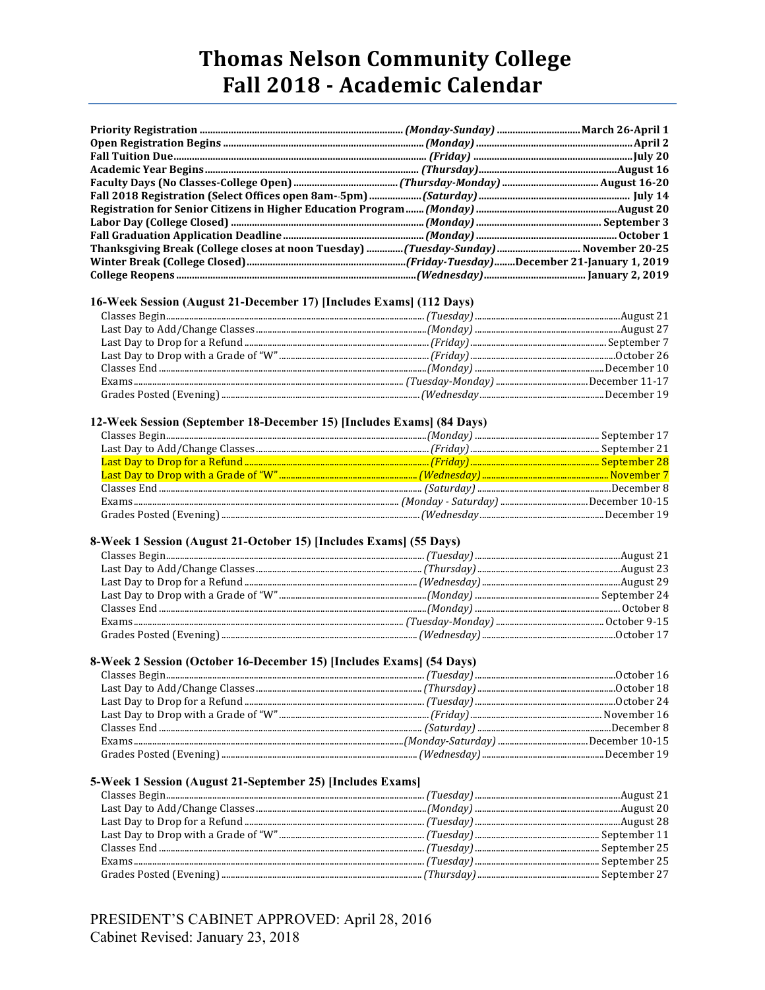## **Thomas Nelson Community College** Fall 2018 - Academic Calendar

| Thanksgiving Break (College closes at noon Tuesday)  (Tuesday-Sunday)  November 20-25 |  |
|---------------------------------------------------------------------------------------|--|
|                                                                                       |  |
|                                                                                       |  |

#### 16-Week Session (August 21-December 17) [Includes Exams] (112 Days)

#### 12-Week Session (September 18-December 15) [Includes Exams] (84 Days)

### 8-Week 1 Session (August 21-October 15) [Includes Exams] (55 Days)

#### 8-Week 2 Session (October 16-December 15) [Includes Exams] (54 Days)

#### 5-Week 1 Session (August 21-September 25) [Includes Exams]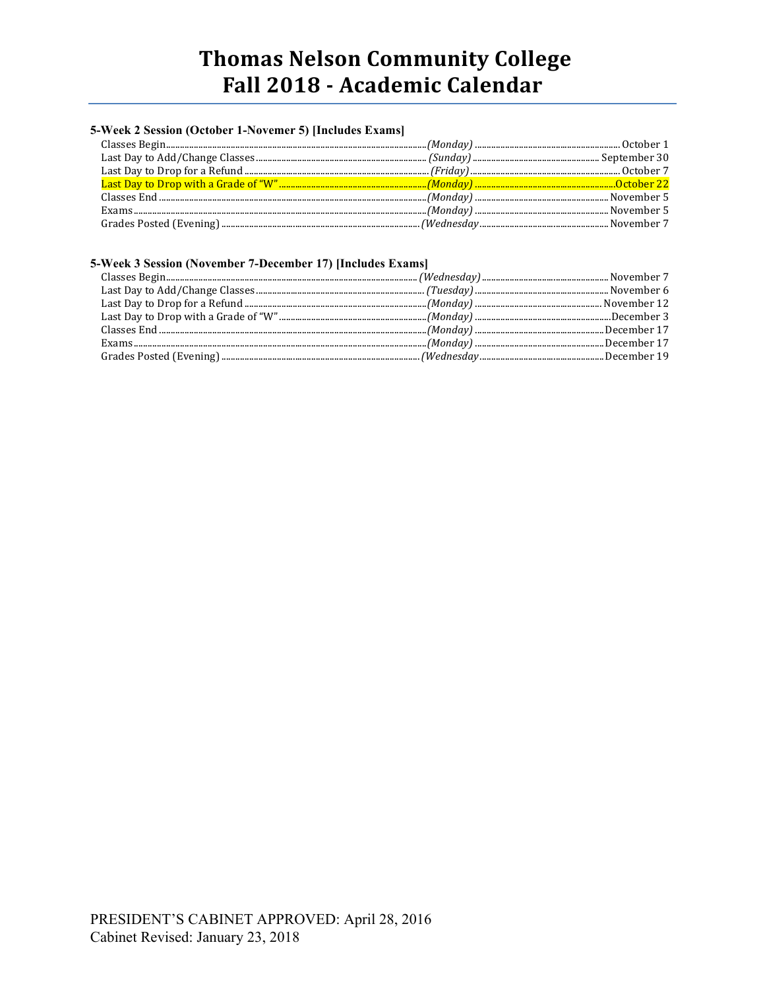# **Thomas Nelson Community College** Fall 2018 - Academic Calendar

## 5-Week 2 Session (October 1-Novemer 5) [Includes Exams]

#### 5-Week 3 Session (November 7-December 17) [Includes Exams]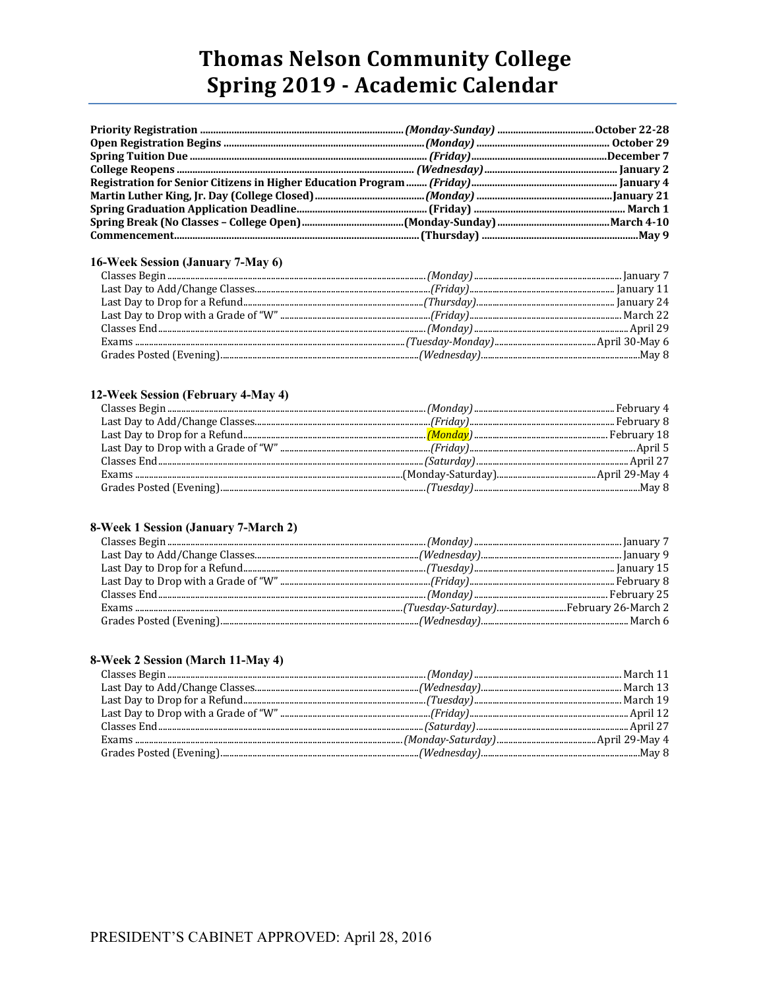# **Thomas Nelson Community College** Spring 2019 - Academic Calendar

### 16-Week Session (January 7-May 6)

#### 12-Week Session (February 4-May 4)

#### 8-Week 1 Session (January 7-March 2)

#### 8-Week 2 Session (March 11-May 4)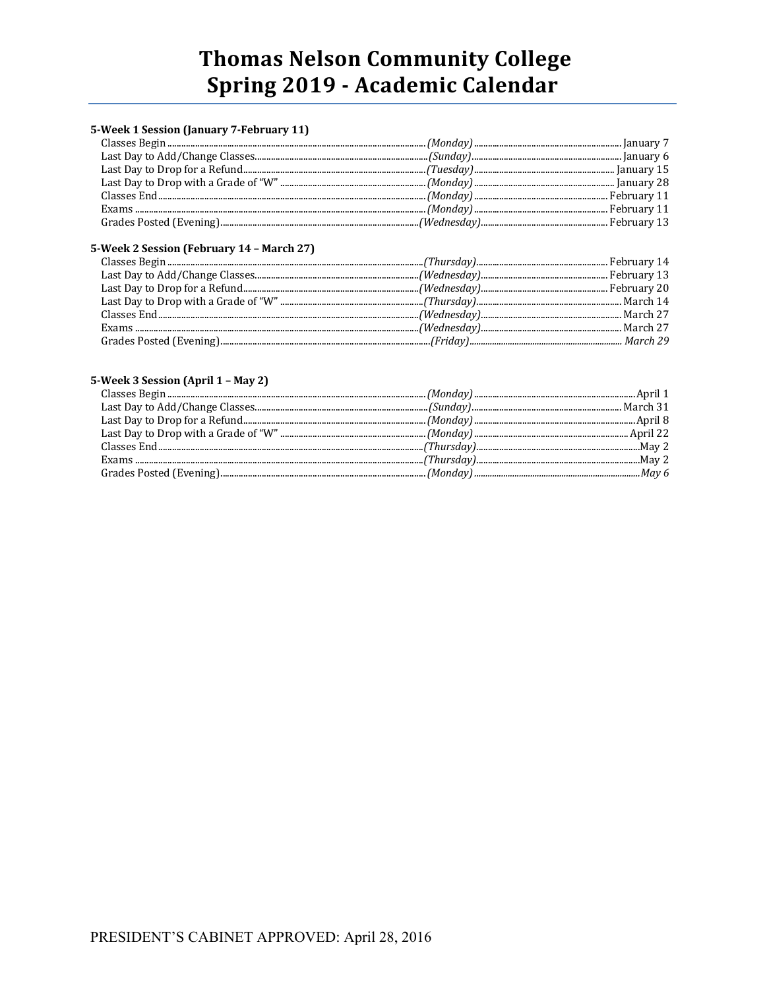# **Thomas Nelson Community College** Spring 2019 - Academic Calendar

### 5-Week 1 Session (January 7-February 11)

## 5-Week 2 Session (February 14 - March 27)

#### 5-Week 3 Session (April 1 - May 2)